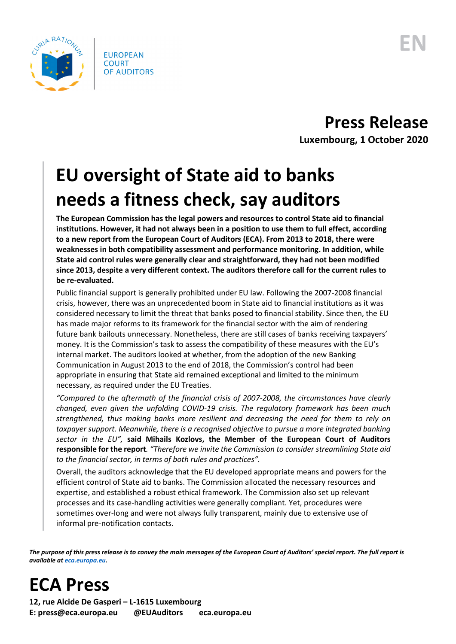

**Press Release Luxembourg, 1 October 2020**

## **EU oversight of State aid to banks needs a fitness check, say auditors**

**The European Commission has the legal powers and resources to control State aid to financial institutions. However, it had not always been in a position to use them to full effect, according to a new report from the European Court of Auditors (ECA). From 2013 to 2018, there were weaknesses in both compatibility assessment and performance monitoring. In addition, while State aid control rules were generally clear and straightforward, they had not been modified since 2013, despite a very different context. The auditors therefore call for the current rules to be re-evaluated.**

Public financial support is generally prohibited under EU law. Following the 2007-2008 financial crisis, however, there was an unprecedented boom in State aid to financial institutions as it was considered necessary to limit the threat that banks posed to financial stability. Since then, the EU has made major reforms to its framework for the financial sector with the aim of rendering future bank bailouts unnecessary. Nonetheless, there are still cases of banks receiving taxpayers' money. It is the Commission's task to assess the compatibility of these measures with the EU's internal market. The auditors looked at whether, from the adoption of the new Banking Communication in August 2013 to the end of 2018, the Commission's control had been appropriate in ensuring that State aid remained exceptional and limited to the minimum necessary, as required under the EU Treaties.

*"Compared to the aftermath of the financial crisis of 2007-2008, the circumstances have clearly changed, even given the unfolding COVID-19 crisis. The regulatory framework has been much strengthened, thus making banks more resilient and decreasing the need for them to rely on taxpayer support. Meanwhile, there is a recognised objective to pursue a more integrated banking sector in the EU",* **said Mihails Kozlovs, the Member of the European Court of Auditors responsible for the report***. "Therefore we invite the Commission to consider streamlining State aid to the financial sector, in terms of both rules and practices".*

Overall, the auditors acknowledge that the EU developed appropriate means and powers for the efficient control of State aid to banks. The Commission allocated the necessary resources and expertise, and established a robust ethical framework. The Commission also set up relevant processes and its case-handling activities were generally compliant. Yet, procedures were sometimes over-long and were not always fully transparent, mainly due to extensive use of informal pre-notification contacts.

*The purpose of this press release is to convey the main messages of the European Court of Auditors' special report. The full report is available a[t eca.europa.eu.](https://www.eca.europa.eu/)*

**ECA Press**

**12, rue Alcide De Gasperi – L-1615 Luxembourg E: press@eca.europa.eu @EUAuditors eca.europa.eu**